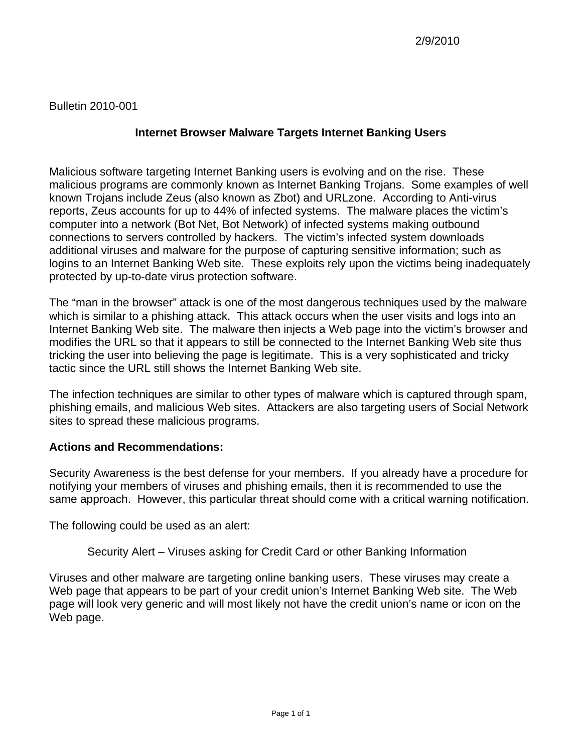# **Internet Browser Malware Targets Internet Banking Users**

Malicious software targeting Internet Banking users is evolving and on the rise. These malicious programs are commonly known as Internet Banking Trojans. Some examples of well known Trojans include Zeus (also known as Zbot) and URLzone. According to Anti-virus reports, Zeus accounts for up to 44% of infected systems. The malware places the victim's computer into a network (Bot Net, Bot Network) of infected systems making outbound connections to servers controlled by hackers. The victim's infected system downloads additional viruses and malware for the purpose of capturing sensitive information; such as logins to an Internet Banking Web site. These exploits rely upon the victims being inadequately protected by up-to-date virus protection software.

The "man in the browser" attack is one of the most dangerous techniques used by the malware which is similar to a phishing attack. This attack occurs when the user visits and logs into an Internet Banking Web site. The malware then injects a Web page into the victim's browser and modifies the URL so that it appears to still be connected to the Internet Banking Web site thus tricking the user into believing the page is legitimate. This is a very sophisticated and tricky tactic since the URL still shows the Internet Banking Web site.

The infection techniques are similar to other types of malware which is captured through spam, phishing emails, and malicious Web sites. Attackers are also targeting users of Social Network sites to spread these malicious programs.

### **Actions and Recommendations:**

Security Awareness is the best defense for your members. If you already have a procedure for notifying your members of viruses and phishing emails, then it is recommended to use the same approach. However, this particular threat should come with a critical warning notification.

The following could be used as an alert:

Security Alert – Viruses asking for Credit Card or other Banking Information

Viruses and other malware are targeting online banking users. These viruses may create a Web page that appears to be part of your credit union's Internet Banking Web site. The Web page will look very generic and will most likely not have the credit union's name or icon on the Web page.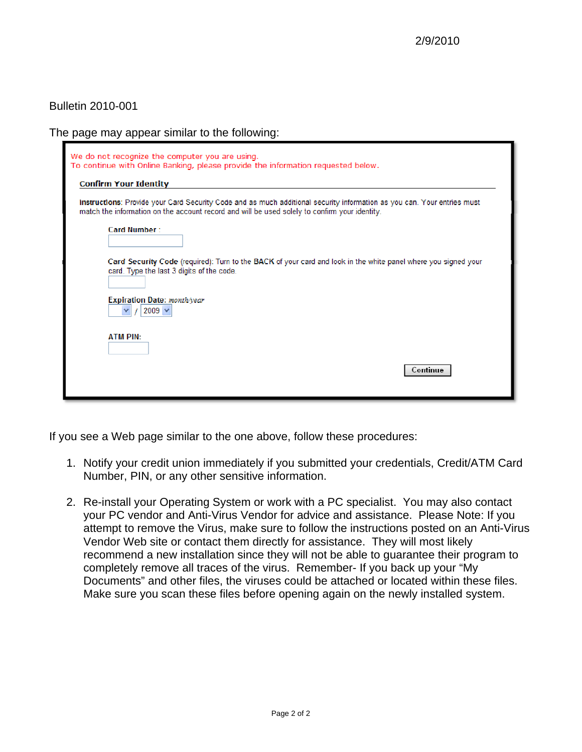The page may appear similar to the following:

| We do not recognize the computer you are using.<br>To continue with Online Banking, please provide the information requested below.                                                                                      |
|--------------------------------------------------------------------------------------------------------------------------------------------------------------------------------------------------------------------------|
| <b>Confirm Your Identity</b>                                                                                                                                                                                             |
| Instructions: Provide your Card Security Code and as much additional security information as you can. Your entries must<br>match the information on the account record and will be used solely to confirm your identity. |
| Card Number:                                                                                                                                                                                                             |
| Card Security Code (required): Turn to the BACK of your card and look in the white panel where you signed your<br>card. Type the last 3 digits of the code.                                                              |
| Expiration Date: month/year<br>2009 $\vee$                                                                                                                                                                               |
| <b>ATM PIN:</b>                                                                                                                                                                                                          |
| Continue                                                                                                                                                                                                                 |

If you see a Web page similar to the one above, follow these procedures:

- 1. Notify your credit union immediately if you submitted your credentials, Credit/ATM Card Number, PIN, or any other sensitive information.
- 2. Re-install your Operating System or work with a PC specialist. You may also contact your PC vendor and Anti-Virus Vendor for advice and assistance. Please Note: If you attempt to remove the Virus, make sure to follow the instructions posted on an Anti-Virus Vendor Web site or contact them directly for assistance. They will most likely recommend a new installation since they will not be able to guarantee their program to completely remove all traces of the virus. Remember- If you back up your "My Documents" and other files, the viruses could be attached or located within these files. Make sure you scan these files before opening again on the newly installed system.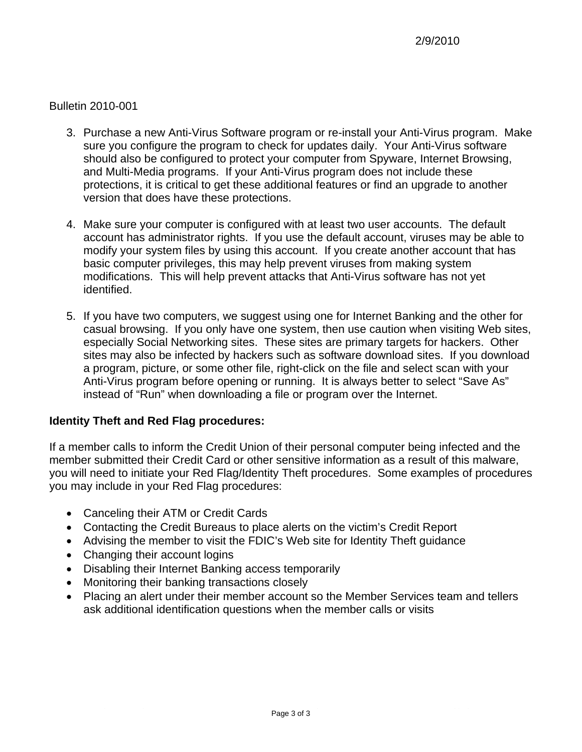- 3. Purchase a new Anti-Virus Software program or re-install your Anti-Virus program. Ma ke sure you configure the program to check for updates daily. Your Anti-Virus sof tware should also be configured to protect your computer from Spyware, Internet Browsing, and Multi-Media programs. If your Anti-Vir us program does not include these protections, it is critical to get these additional features or find an upgrade to another version that does have these protections.
- account has administrator rights. If you use the default account, viruses may be able to modify your system files by using this account. If you create another account that has basic computer privileges, this may help prevent viruses from making system modifications. This will help prevent attacks that Anti-Virus software has not yet 4. Make sure your computer is configured with at least two user accounts. The default identified.
- especially Social Networking sites. These sites are primary targets for hackers. Other sites may also be infected by hackers such as software download sites. If you download a program, picture, or some other file, right-click on the file and select scan with your Anti-Virus program before opening or running. It is always better to select "Save As" instead of "Run" when downloading a file or program over the Internet. 5. If you have two computers, we suggest using one for Internet Banking and the other for casual browsing. If you only have one system, then use caution when visiting Web sites,

### **Identity Theft and Red Flag procedures:**

member submitted their Credit Card or other sensitive information as a result of this malware, you will need to initiate your Red Flag/Identity Theft procedures. Some examples of procedures you may include in your Red Flag procedures: If a member calls to inform the Credit Union of their personal computer being infected and the

- Canceling their ATM or Credit Cards
- Contacting the Credit Bureaus to place alerts on the victim's Credit Report
- Advising the member to visit the FDIC's Web site for Identity Theft guidance
- Changing their account logins
- Disabling their Internet Banking access temporarily
- Monitoring their banking transactions closely
- Placing an alert under their member account so the Member Services team and tellers ask additional identification questions when the member calls or visits